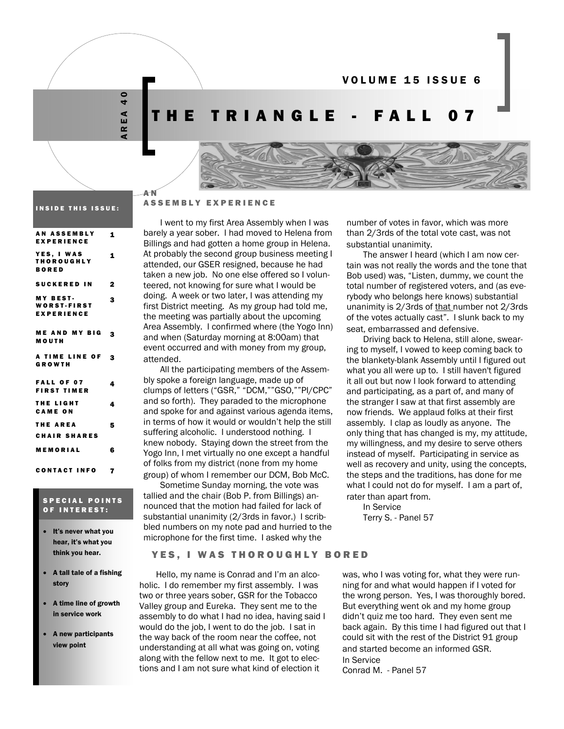VOLUME 15 ISSUE 6

AREA 40  $\frac{1}{4}$  $E$  A  $\alpha$ 

AN

## HE TRIANGLE - FALL 07



#### INSIDE THIS ISSUE:

| <b>AN ASSEMBLY</b><br><b>EXPERIENCE</b>                    | 1            |
|------------------------------------------------------------|--------------|
| <b>YES, I WAS</b><br><b>THOROUGHLY</b><br><b>BORED</b>     | $\mathbf{1}$ |
| SUCKERED IN                                                | $\mathbf 2$  |
| <b>MY BEST-</b><br><b>WORST-FIRST</b><br><b>EXPERIENCE</b> | 3            |
| <b>ME AND MY BIG</b><br>MOUTH                              | 3            |
| A TIME LINE OF<br>GROWTH                                   | 3            |
| <b>FALL OF 07</b><br><b>FIRST TIMER</b>                    | 4            |
| <b>THE LIGHT</b><br><b>CAME ON</b>                         | 4            |
| <b>THE AREA</b>                                            | 5            |
| <b>CHAIR SHARES</b>                                        |              |
| <b>MEMORIAL</b>                                            | 6            |
| CONTACT INFO                                               | 7            |

#### SPECIAL POINTS OF INTEREST:

- It's never what you hear, it's what you think you hear.
- A tall tale of a fishing story
- A time line of growth in service work
- A new participants view point

#### ASSEMBLY EXPERIENCE

I went to my first Area Assembly when I was barely a year sober. I had moved to Helena from Billings and had gotten a home group in Helena. At probably the second group business meeting I attended, our GSER resigned, because he had taken a new job. No one else offered so I volunteered, not knowing for sure what I would be doing. A week or two later, I was attending my first District meeting. As my group had told me, the meeting was partially about the upcoming Area Assembly. I confirmed where (the Yogo Inn) and when (Saturday morning at 8:00am) that event occurred and with money from my group, attended.

All the participating members of the Assembly spoke a foreign language, made up of clumps of letters ("GSR," "DCM,""GSO,""PI/CPC" and so forth). They paraded to the microphone and spoke for and against various agenda items, in terms of how it would or wouldn't help the still suffering alcoholic. I understood nothing. I knew nobody. Staying down the street from the Yogo Inn, I met virtually no one except a handful of folks from my district (none from my home group) of whom I remember our DCM, Bob McC.

Sometime Sunday morning, the vote was tallied and the chair (Bob P. from Billings) announced that the motion had failed for lack of substantial unanimity (2/3rds in favor.) I scribbled numbers on my note pad and hurried to the microphone for the first time. I asked why the

number of votes in favor, which was more than 2/3rds of the total vote cast, was not substantial unanimity.

The answer I heard (which I am now certain was not really the words and the tone that Bob used) was, "Listen, dummy, we count the total number of registered voters, and (as everybody who belongs here knows) substantial unanimity is 2/3rds of that number not 2/3rds of the votes actually cast". I slunk back to my seat, embarrassed and defensive.

Driving back to Helena, still alone, swearing to myself, I vowed to keep coming back to the blankety-blank Assembly until I figured out what you all were up to. I still haven't figured it all out but now I look forward to attending and participating, as a part of, and many of the stranger I saw at that first assembly are now friends. We applaud folks at their first assembly. I clap as loudly as anyone. The only thing that has changed is my, my attitude, my willingness, and my desire to serve others instead of myself. Participating in service as well as recovery and unity, using the concepts, the steps and the traditions, has done for me what I could not do for myself. I am a part of, rater than apart from.

In Service Terry S. - Panel 57

#### YES, I WAS THOROUGHLY BORED

Hello, my name is Conrad and I'm an alcoholic. I do remember my first assembly. I was two or three years sober, GSR for the Tobacco Valley group and Eureka. They sent me to the assembly to do what I had no idea, having said I would do the job, I went to do the job. I sat in the way back of the room near the coffee, not understanding at all what was going on, voting along with the fellow next to me. It got to elections and I am not sure what kind of election it

was, who I was voting for, what they were running for and what would happen if I voted for the wrong person. Yes, I was thoroughly bored. But everything went ok and my home group didn't quiz me too hard. They even sent me back again. By this time I had figured out that I could sit with the rest of the District 91 group and started become an informed GSR. In Service

Conrad M. - Panel 57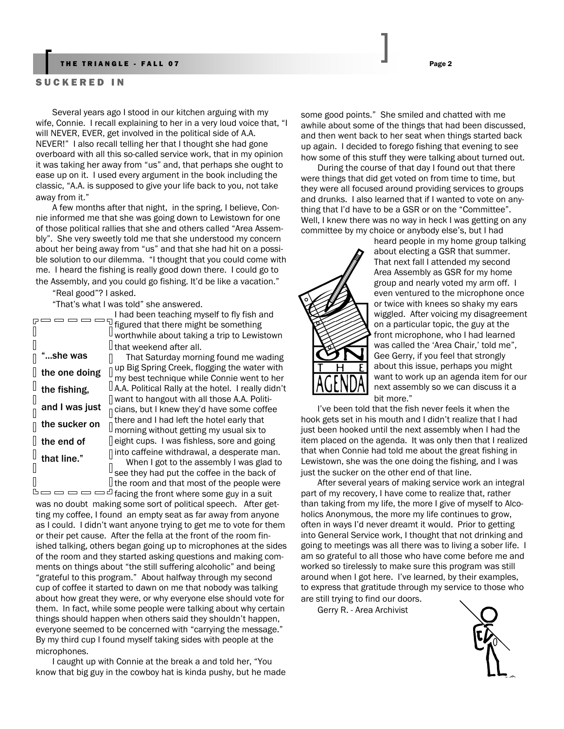#### THE TRIANGLE - FALL 07 Page 2

#### SUCKERED IN

Several years ago I stood in our kitchen arguing with my wife, Connie. I recall explaining to her in a very loud voice that, "I will NEVER, EVER, get involved in the political side of A.A. NEVER!" I also recall telling her that I thought she had gone overboard with all this so-called service work, that in my opinion it was taking her away from "us" and, that perhaps she ought to ease up on it. I used every argument in the book including the classic, "A.A. is supposed to give your life back to you, not take away from it."

A few months after that night, in the spring, I believe, Connie informed me that she was going down to Lewistown for one of those political rallies that she and others called "Area Assembly". She very sweetly told me that she understood my concern about her being away from "us" and that she had hit on a possible solution to our dilemma. "I thought that you could come with me. I heard the fishing is really good down there. I could go to the Assembly, and you could go fishing. It'd be like a vacation."

"Real good"? I asked.

"That's what I was told" she answered.

|                | I had been teaching myself to fly fish and                     |
|----------------|----------------------------------------------------------------|
|                | figured that there might be something                          |
|                | worthwhile about taking a trip to Lewistown                    |
|                | ∐ that weekend after all.                                      |
| she was        | That Saturday morning found me wading                          |
| the one doing  | up Big Spring Creek, flogging the water with                   |
|                | my best technique while Connie went to her                     |
| the fishing,   | $\mathsf I$ A.A. Political Rally at the hotel. I really didn't |
|                | want to hangout with all those A.A. Politi-                    |
| and I was just | cians, but I knew they'd have some coffee                      |
| the sucker on  | there and I had left the hotel early that                      |
|                | morning without getting my usual six to                        |
| the end of     | eight cups. I was fishless, sore and going                     |
|                | into caffeine withdrawal, a desperate man.                     |
| that line."    | When I got to the assembly I was glad to                       |
|                | see they had put the coffee in the back of                     |
|                | I the room and that most of the people were                    |
|                |                                                                |

 $\Box \Box \Box \Box \Box \Box \Box$  facing the front where some guy in a suit was no doubt making some sort of political speech. After getting my coffee, I found an empty seat as far away from anyone as I could. I didn't want anyone trying to get me to vote for them or their pet cause. After the fella at the front of the room finished talking, others began going up to microphones at the sides of the room and they started asking questions and making comments on things about "the still suffering alcoholic" and being "grateful to this program." About halfway through my second cup of coffee it started to dawn on me that nobody was talking about how great they were, or why everyone else should vote for them. In fact, while some people were talking about why certain things should happen when others said they shouldn't happen, everyone seemed to be concerned with "carrying the message." By my third cup I found myself taking sides with people at the microphones.

I caught up with Connie at the break a and told her, "You know that big guy in the cowboy hat is kinda pushy, but he made

some good points." She smiled and chatted with me awhile about some of the things that had been discussed, and then went back to her seat when things started back up again. I decided to forego fishing that evening to see how some of this stuff they were talking about turned out.

During the course of that day I found out that there were things that did get voted on from time to time, but they were all focused around providing services to groups and drunks. I also learned that if I wanted to vote on anything that I'd have to be a GSR or on the "Committee". Well, I knew there was no way in heck I was getting on any committee by my choice or anybody else's, but I had



heard people in my home group talking about electing a GSR that summer. That next fall I attended my second Area Assembly as GSR for my home group and nearly voted my arm off. I even ventured to the microphone once or twice with knees so shaky my ears wiggled. After voicing my disagreement on a particular topic, the guy at the front microphone, who I had learned was called the 'Area Chair,' told me", Gee Gerry, if you feel that strongly about this issue, perhaps you might want to work up an agenda item for our next assembly so we can discuss it a bit more."

I've been told that the fish never feels it when the hook gets set in his mouth and I didn't realize that I had just been hooked until the next assembly when I had the item placed on the agenda. It was only then that I realized that when Connie had told me about the great fishing in Lewistown, she was the one doing the fishing, and I was just the sucker on the other end of that line.

After several years of making service work an integral part of my recovery, I have come to realize that, rather than taking from my life, the more I give of myself to Alcoholics Anonymous, the more my life continues to grow, often in ways I'd never dreamt it would. Prior to getting into General Service work, I thought that not drinking and going to meetings was all there was to living a sober life. I am so grateful to all those who have come before me and worked so tirelessly to make sure this program was still around when I got here. I've learned, by their examples, to express that gratitude through my service to those who are still trying to find our doors.

Gerry R. - Area Archivist

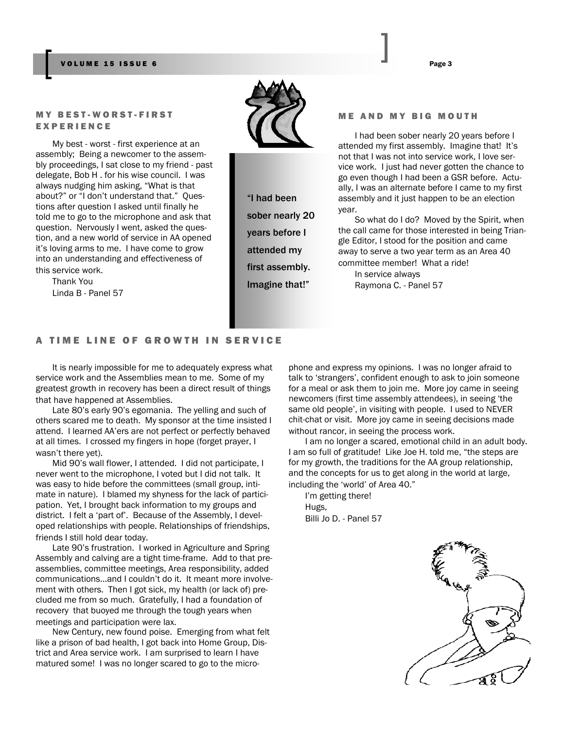#### VOLUME 15 ISSUE 6 Page 3

#### MY BEST-WORST-FIRST EXPERIENCE

My best - worst - first experience at an assembly; Being a newcomer to the assembly proceedings, I sat close to my friend - past delegate, Bob H . for his wise council. I was always nudging him asking, "What is that about?" or "I don't understand that." Questions after question I asked until finally he told me to go to the microphone and ask that question. Nervously I went, asked the question, and a new world of service in AA opened it's loving arms to me. I have come to grow into an understanding and effectiveness of this service work.

Thank You Linda B - Panel 57



"I had been sober nearly 20 years before I attended my first assembly. Imagine that!"

#### ME AND MY BIG MOUTH

I had been sober nearly 20 years before I attended my first assembly. Imagine that! It's not that I was not into service work, I love service work. I just had never gotten the chance to go even though I had been a GSR before. Actually, I was an alternate before I came to my first assembly and it just happen to be an election year.

So what do I do? Moved by the Spirit, when the call came for those interested in being Triangle Editor, I stood for the position and came away to serve a two year term as an Area 40 committee member! What a ride!

In service always Raymona C. - Panel 57

### A TIME LINE OF GROWTH IN SERVICE

It is nearly impossible for me to adequately express what service work and the Assemblies mean to me. Some of my greatest growth in recovery has been a direct result of things that have happened at Assemblies.

Late 80's early 90's egomania. The yelling and such of others scared me to death. My sponsor at the time insisted I attend. I learned AA'ers are not perfect or perfectly behaved at all times. I crossed my fingers in hope (forget prayer, I wasn't there yet).

Mid 90's wall flower, I attended. I did not participate, I never went to the microphone, I voted but I did not talk. It was easy to hide before the committees (small group, intimate in nature). I blamed my shyness for the lack of participation. Yet, I brought back information to my groups and district. I felt a 'part of'. Because of the Assembly, I developed relationships with people. Relationships of friendships, friends I still hold dear today.

Late 90's frustration. I worked in Agriculture and Spring Assembly and calving are a tight time-frame. Add to that preassemblies, committee meetings, Area responsibility, added communications...and I couldn't do it. It meant more involvement with others. Then I got sick, my health (or lack of) precluded me from so much. Gratefully, I had a foundation of recovery that buoyed me through the tough years when meetings and participation were lax.

New Century, new found poise. Emerging from what felt like a prison of bad health, I got back into Home Group, District and Area service work. I am surprised to learn I have matured some! I was no longer scared to go to the microphone and express my opinions. I was no longer afraid to talk to 'strangers', confident enough to ask to join someone for a meal or ask them to join me. More joy came in seeing newcomers (first time assembly attendees), in seeing 'the same old people', in visiting with people. I used to NEVER chit-chat or visit. More joy came in seeing decisions made without rancor, in seeing the process work.

I am no longer a scared, emotional child in an adult body. I am so full of gratitude! Like Joe H. told me, "the steps are for my growth, the traditions for the AA group relationship, and the concepts for us to get along in the world at large, including the 'world' of Area 40."

I'm getting there! Hugs, Billi Jo D. - Panel 57

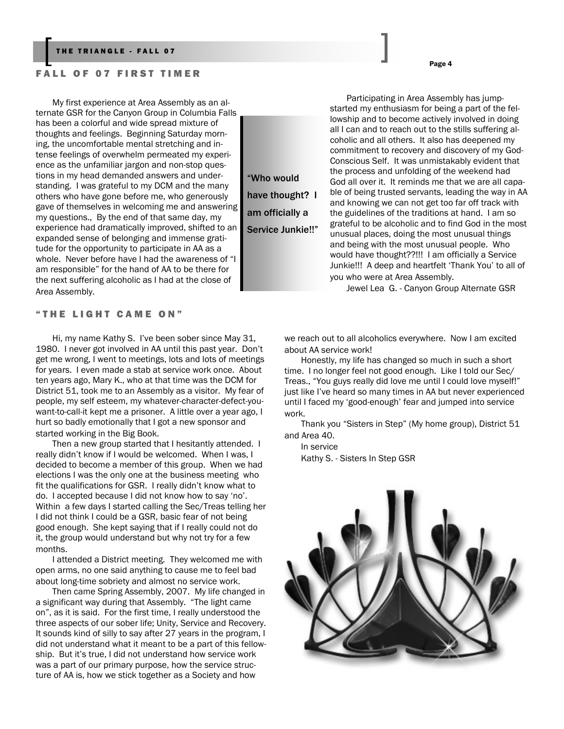#### FALL OF 07 FIRST TIMER

My first experience at Area Assembly as an alternate GSR for the Canyon Group in Columbia Falls has been a colorful and wide spread mixture of thoughts and feelings. Beginning Saturday morning, the uncomfortable mental stretching and intense feelings of overwhelm permeated my experience as the unfamiliar jargon and non-stop questions in my head demanded answers and understanding. I was grateful to my DCM and the many others who have gone before me, who generously gave of themselves in welcoming me and answering my questions., By the end of that same day, my experience had dramatically improved, shifted to an expanded sense of belonging and immense gratitude for the opportunity to participate in AA as a whole. Never before have I had the awareness of "I am responsible" for the hand of AA to be there for the next suffering alcoholic as I had at the close of Area Assembly.

"THE LIGHT CAME ON"

Hi, my name Kathy S. I've been sober since May 31, 1980. I never got involved in AA until this past year. Don't get me wrong, I went to meetings, lots and lots of meetings for years. I even made a stab at service work once. About ten years ago, Mary K., who at that time was the DCM for District 51, took me to an Assembly as a visitor. My fear of people, my self esteem, my whatever-character-defect-youwant-to-call-it kept me a prisoner. A little over a year ago, I hurt so badly emotionally that I got a new sponsor and started working in the Big Book.

Then a new group started that I hesitantly attended. I really didn't know if I would be welcomed. When I was, I decided to become a member of this group. When we had elections I was the only one at the business meeting who fit the qualifications for GSR. I really didn't know what to do. I accepted because I did not know how to say 'no'. Within a few days I started calling the Sec/Treas telling her I did not think I could be a GSR, basic fear of not being good enough. She kept saying that if I really could not do it, the group would understand but why not try for a few months.

I attended a District meeting. They welcomed me with open arms, no one said anything to cause me to feel bad about long-time sobriety and almost no service work.

Then came Spring Assembly, 2007. My life changed in a significant way during that Assembly. "The light came on", as it is said. For the first time, I really understood the three aspects of our sober life; Unity, Service and Recovery. It sounds kind of silly to say after 27 years in the program, I did not understand what it meant to be a part of this fellowship. But it's true, I did not understand how service work was a part of our primary purpose, how the service structure of AA is, how we stick together as a Society and how

"Who would have thought? I am officially a Service Junkie!!"

Participating in Area Assembly has jumpstarted my enthusiasm for being a part of the fellowship and to become actively involved in doing all I can and to reach out to the stills suffering alcoholic and all others. It also has deepened my commitment to recovery and discovery of my God-Conscious Self. It was unmistakably evident that the process and unfolding of the weekend had God all over it. It reminds me that we are all capable of being trusted servants, leading the way in AA and knowing we can not get too far off track with the guidelines of the traditions at hand. I am so grateful to be alcoholic and to find God in the most unusual places, doing the most unusual things and being with the most unusual people. Who would have thought??!!! I am officially a Service Junkie!!! A deep and heartfelt 'Thank You' to all of you who were at Area Assembly.

Jewel Lea G. - Canyon Group Alternate GSR

we reach out to all alcoholics everywhere. Now I am excited about AA service work!

Honestly, my life has changed so much in such a short time. I no longer feel not good enough. Like I told our Sec/ Treas., "You guys really did love me until I could love myself!" just like I've heard so many times in AA but never experienced until I faced my 'good-enough' fear and jumped into service work.

Thank you "Sisters in Step" (My home group), District 51 and Area 40.

In service Kathy S. - Sisters In Step GSR

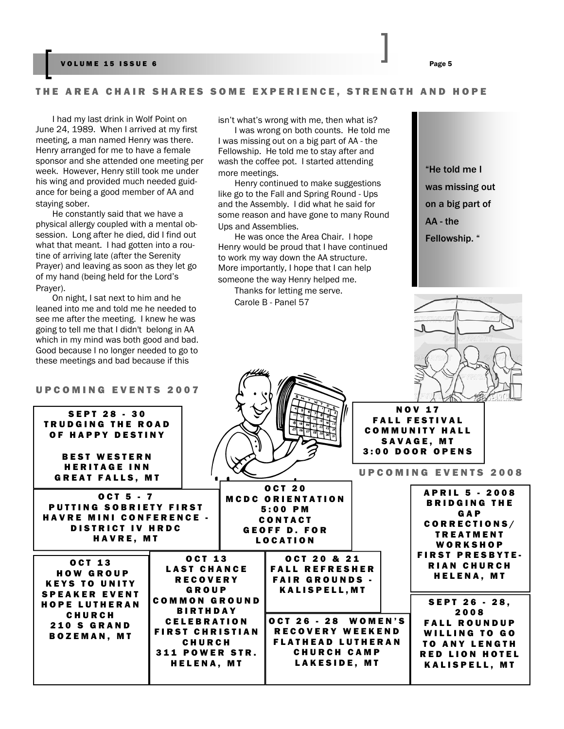#### VOLUME 15 ISSUE 6 Page 5

#### THE AREA CHAIR SHARES SOME EXPERIENCE, STRENGTH AND HOPE

I had my last drink in Wolf Point on June 24, 1989. When I arrived at my first meeting, a man named Henry was there. Henry arranged for me to have a female sponsor and she attended one meeting per week. However, Henry still took me under his wing and provided much needed guidance for being a good member of AA and staying sober.

He constantly said that we have a physical allergy coupled with a mental obsession. Long after he died, did I find out what that meant. I had gotten into a routine of arriving late (after the Serenity Prayer) and leaving as soon as they let go of my hand (being held for the Lord's Prayer).

On night, I sat next to him and he leaned into me and told me he needed to see me after the meeting. I knew he was going to tell me that I didn't belong in AA which in my mind was both good and bad. Good because I no longer needed to go to these meetings and bad because if this

#### UPCOMING EVENTS 2007

isn't what's wrong with me, then what is?

I was wrong on both counts. He told me I was missing out on a big part of AA - the Fellowship. He told me to stay after and wash the coffee pot. I started attending more meetings.

Henry continued to make suggestions like go to the Fall and Spring Round - Ups and the Assembly. I did what he said for some reason and have gone to many Round Ups and Assemblies.

He was once the Area Chair. I hope Henry would be proud that I have continued to work my way down the AA structure. More importantly, I hope that I can help someone the way Henry helped me.

Thanks for letting me serve. Carole B - Panel 57

"He told me I was missing out on a big part of AA - the Fellowship. "



| <b>SEPT 28 - 30</b><br><b>TRUDGING THE ROAD</b><br>OF HAPPY DESTINY<br><b>BEST WESTERN</b><br><b>HERITAGE INN</b><br><b>GREAT FALLS, MT</b> |                                                                                                                                                        |                                                                                                                         | <b>NOV 17</b><br><b>FALL FESTIVAL</b><br><b>COMMUNITY HALL</b><br><b>SAVAGE, MT</b><br>3:00 DOOR OPENS<br><b>UPCOMING EVENTS 2008</b>                |
|---------------------------------------------------------------------------------------------------------------------------------------------|--------------------------------------------------------------------------------------------------------------------------------------------------------|-------------------------------------------------------------------------------------------------------------------------|------------------------------------------------------------------------------------------------------------------------------------------------------|
| <b>OCT 5 - 7</b><br><b>PUTTING SOBRIETY FIRST</b><br><b>HAVRE MINI CONFERENCE -</b><br><b>DISTRICT IV HRDC</b><br>HAVRE, MT                 |                                                                                                                                                        | <b>OCT 20</b><br><b>MCDC ORIENTATION</b><br>$5:00$ PM<br><b>CONTACT</b><br><b>GEOFF D. FOR</b><br><b>LOCATION</b>       | <b>APRIL 5 - 2008</b><br><b>BRIDGING THE</b><br>GAP<br>CORRECTIONS/<br><b>TREATMENT</b><br>WORKSHOP                                                  |
| <b>OCT 13</b><br><b>HOW GROUP</b><br><b>KEYS TO UNITY</b>                                                                                   | <b>OCT 13</b><br><b>LAST CHANCE</b><br><b>RECOVERY</b><br>GROUP                                                                                        | OCT 20 & 21<br><b>FALL REFRESHER</b><br><b>FAIR GROUNDS -</b><br><b>KALISPELL, MT</b>                                   | <b>FIRST PRESBYTE.</b><br><b>RIAN CHURCH</b><br><b>HELENA, MT</b>                                                                                    |
| <b>SPEAKER EVENT</b><br><b>HOPE LUTHERAN</b><br><b>CHURCH</b><br><b>210 S GRAND</b><br><b>BOZEMAN, MT</b>                                   | <b>COMMON GROUND</b><br><b>BIRTHDAY</b><br><b>CELEBRATION</b><br><b>FIRST CHRISTIAN</b><br><b>CHURCH</b><br><b>311 POWER STR.</b><br><b>HELENA, MT</b> | OCT 26 - 28 WOMEN'S<br><b>RECOVERY WEEKEND</b><br><b>FLATHEAD LUTHERAN</b><br><b>CHURCH CAMP</b><br><b>LAKESIDE, MT</b> | <b>SEPT 26 - 28,</b><br>2008<br><b>FALL ROUNDUP</b><br><b>WILLING TO GO</b><br><b>TO ANY LENGTH</b><br><b>RED LION HOTEL</b><br><b>KALISPELL, MT</b> |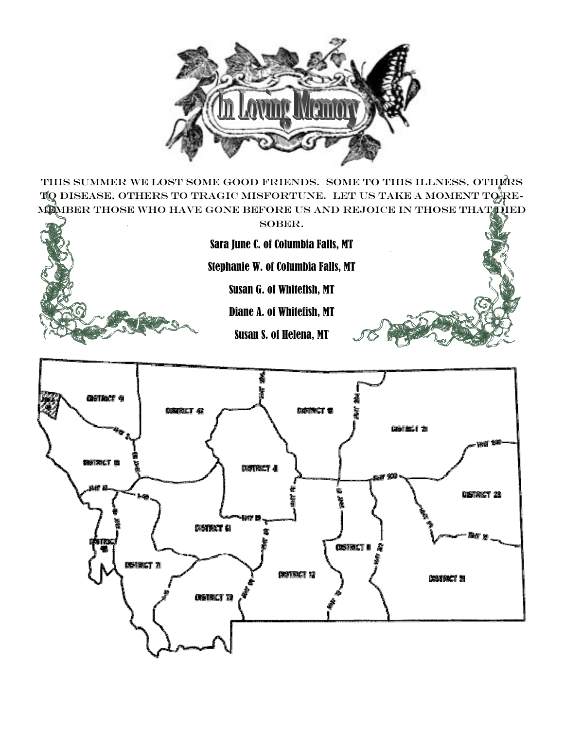

THIS SUMMER WE LOST SOME GOOD FRIENDS. SOME TO THIS ILLNESS, OTHERS TQ DISEASE, OTHERS TO TRAGIC MISFORTUNE. LET US TAKE A MOMENT TO REmember those who have gone before us and rejoice in those that died